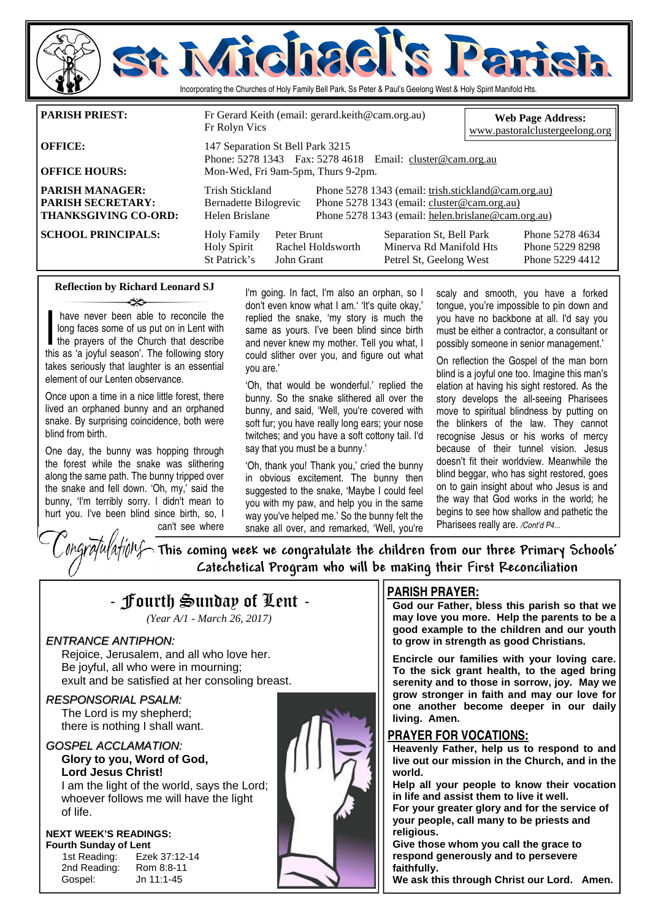

|                           | Fr Rolyn Vics                                                                                   |                                                    |                                                     |  | www.pastoralclustergeelong.org |  |  |
|---------------------------|-------------------------------------------------------------------------------------------------|----------------------------------------------------|-----------------------------------------------------|--|--------------------------------|--|--|
| <b>OFFICE:</b>            | 147 Separation St Bell Park 3215<br>Phone: 5278 1343  Fax: 5278 4618  Email: cluster@cam.org.au |                                                    |                                                     |  |                                |  |  |
| <b>  OFFICE HOURS:</b>    | Mon-Wed, Fri 9am-5pm, Thurs 9-2pm.                                                              |                                                    |                                                     |  |                                |  |  |
| <b>PARISH MANAGER:</b>    | Trish Stickland                                                                                 |                                                    | Phone 5278 1343 (email: trish.stickland@cam.org.au) |  |                                |  |  |
| <b>PARISH SECRETARY:</b>  | Bernadette Bilogrevic                                                                           |                                                    | Phone 5278 1343 (email: cluster@cam.org.au)         |  |                                |  |  |
| THANKSGIVING CO-ORD:      | Helen Brislane                                                                                  | Phone 5278 1343 (email: helen.brislane@cam.org.au) |                                                     |  |                                |  |  |
| <b>SCHOOL PRINCIPALS:</b> | <b>Holy Family</b>                                                                              | Peter Brunt                                        | Separation St, Bell Park                            |  | Phone 5278 4634                |  |  |
|                           | <b>Holy Spirit</b>                                                                              | Rachel Holdsworth                                  | Minerva Rd Manifold Hts                             |  | Phone 5229 8298                |  |  |
|                           | St Patrick's                                                                                    | John Grant                                         | Petrel St, Geelong West                             |  | Phone 5229 4412                |  |  |

### **Reflection by Richard Leonard SJ**  ينبد

have never been able to reconcile the<br>long faces some of us put on in Lent with<br>the prayers of the Church that describe<br>this as 'a joutul season'. The following story long faces some of us put on in Lent with this as 'a joyful season'. The following story takes seriously that laughter is an essential element of our Lenten observance.

Once upon a time in a nice little forest, there lived an orphaned bunny and an orphaned snake. By surprising coincidence, both were blind from birth.

One day, the bunny was hopping through the forest while the snake was slithering along the same path. The bunny tripped over the snake and fell down. 'Oh, my,' said the bunny, 'I'm terribly sorry. I didn't mean to hurt you. I've been blind since birth, so, I can't see where I'm going. In fact, I'm also an orphan, so I don't even know what I am.' 'It's quite okay,' replied the snake, 'my story is much the same as yours. I've been blind since birth and never knew my mother. Tell you what, I could slither over you, and figure out what you are.'

'Oh, that would be wonderful.' replied the bunny. So the snake slithered all over the bunny, and said, 'Well, you're covered with soft fur; you have really long ears; your nose twitches; and you have a soft cottony tail. I'd say that you must be a bunny.'

'Oh, thank you! Thank you,' cried the bunny in obvious excitement. The bunny then suggested to the snake, 'Maybe I could feel you with my paw, and help you in the same way you've helped me.' So the bunny felt the snake all over, and remarked, 'Well, you're scaly and smooth, you have a forked tongue, you're impossible to pin down and you have no backbone at all. I'd say you must be either a contractor, a consultant or possibly someone in senior management.'

On reflection the Gospel of the man born blind is a joyful one too. Imagine this man's elation at having his sight restored. As the story develops the all-seeing Pharisees move to spiritual blindness by putting on the blinkers of the law. They cannot recognise Jesus or his works of mercy because of their tunnel vision. Jesus doesn't fit their worldview. Meanwhile the blind beggar, who has sight restored, goes on to gain insight about who Jesus is and the way that God works in the world; he begins to see how shallow and pathetic the Pharisees really are. */Cont'd P4...* 

This coming week we congratulate the children from our three Primary Schools' Catechetical Program who will be making their First Reconciliation

## - Fourth Sunday of Lent - *(Year A/1 - March 26, 2017)*

### ENTRANCE ANTIPHON:

 Rejoice, Jerusalem, and all who love her. Be joyful, all who were in mourning; exult and be satisfied at her consoling breast.

### RESPONSORIAL PSALM:

 The Lord is my shepherd; there is nothing I shall want.

### GOSPEL ACCLAMATION: **Glory to you, Word of God, Lord Jesus Christ!**

I am the light of the world, says the Lord; whoever follows me will have the light of life.

### **NEXT WEEK'S READINGS: Fourth Sunday of Lent**

1st Reading: Ezek 37:12-14 2nd Reading: Rom 8:8-11 Gospel: Jn 11:1-45



### **PARISH PRAYER:**

**God our Father, bless this parish so that we may love you more. Help the parents to be a good example to the children and our youth to grow in strength as good Christians.** 

**Encircle our families with your loving care. To the sick grant health, to the aged bring serenity and to those in sorrow, joy. May we grow stronger in faith and may our love for one another become deeper in our daily living. Amen.** 

### **PRAYER FOR VOCATIONS:**

**Heavenly Father, help us to respond to and live out our mission in the Church, and in the world.** 

**Help all your people to know their vocation in life and assist them to live it well.** 

**For your greater glory and for the service of your people, call many to be priests and religious.** 

**Give those whom you call the grace to respond generously and to persevere faithfully.** 

**We ask this through Christ our Lord. Amen.**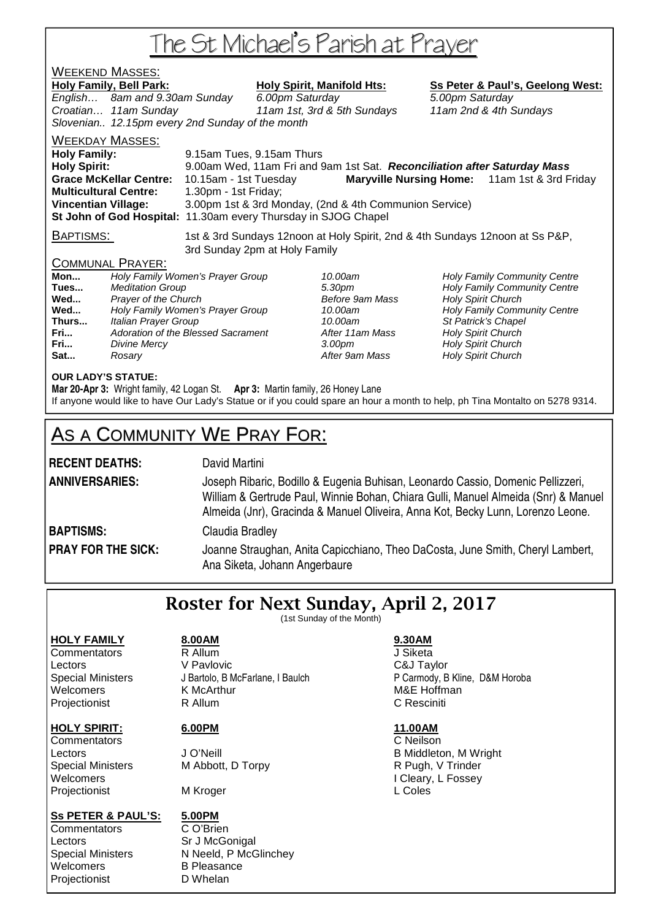# The St Michael's Parish at Prayer

# **WEEKEND MASSES:**<br>Holy Family, Bell Park:

## Holy Spirit, Manifold Hts: Ss Peter & Paul's, Geelong West:

English… 8am and 9.30am Sunday 6.00pm Saturday 5.00pm Saturday Croatian… 11am Sunday 11am 1st, 3rd & 5th Sundays 11am 2nd & 4th Sundays Slovenian.. 12.15pm every 2nd Sunday of the month

### WEEKDAY MASSES:

**Holy Family:** 9.15am Tues, 9.15am Thurs **Holy Spirit:** 9.00am Wed, 11am Fri and 9am 1st Sat. **Reconciliation after Saturday Mass Grace McKellar Centre:** 10.15am - 1st Tuesday **Maryville Nursing Home:** 11am 1st & 3rd Friday **Multicultural Centre:** 1.30pm - 1st Friday; **Vincentian Village:** 3.00pm 1st & 3rd Monday, (2nd & 4th Communion Service) **St John of God Hospital:** 11.30am every Thursday in SJOG Chapel

BAPTISMS: 1st & 3rd Sundays 12noon at Holy Spirit, 2nd & 4th Sundays 12noon at Ss P&P, 3rd Sunday 2pm at Holy Family

### COMMUNAL PRAYER:

| Mon   | Holy Family Women's Prayer Group   |
|-------|------------------------------------|
| Tues  | <b>Meditation Group</b>            |
| Wed   | Prayer of the Church               |
| Wed   | Holy Family Women's Prayer Group   |
| Thurs | Italian Prayer Group               |
| Fri   | Adoration of the Blessed Sacrament |
| Fri   | <b>Divine Mercy</b>                |
| Sat   | Rosarv                             |

After 9am Mass **Holy Spirit Church** 

10.00am **Holy Family Community Centre** 5.30pm **Tues... Holy Family Community Centre**<br>**Tues... Before 9am Mass Change Holy Spirit Church Holy Spirit Church** 10.00am **Holy Family Community Centre** 10.00am St Patrick's Chapel After 11am Mass **Holy Spirit Church Fri...** Divine Mercy 3.00pm Holy Spirit Church

### **OUR LADY'S STATUE:**

**Mar 20-Apr 3:** Wright family, 42 Logan St. **Apr 3:** Martin family, 26 Honey Lane If anyone would like to have Our Lady's Statue or if you could spare an hour a month to help, ph Tina Montalto on 5278 9314.

# AS A COMMUNITY WE PRAY FOR:

**RECENT DEATHS:** David Martini

**ANNIVERSARIES:** Joseph Ribaric, Bodillo & Eugenia Buhisan, Leonardo Cassio, Domenic Pellizzeri, William & Gertrude Paul, Winnie Bohan, Chiara Gulli, Manuel Almeida (Snr) & Manuel Almeida (Jnr), Gracinda & Manuel Oliveira, Anna Kot, Becky Lunn, Lorenzo Leone.

**BAPTISMS:** Claudia Bradley

**PRAY FOR THE SICK:** Joanne Straughan, Anita Capicchiano, Theo DaCosta, June Smith, Cheryl Lambert, Ana Siketa, Johann Angerbaure

Roster for Next Sunday, April 2, 2017

### (1st Sunday of the Month)

### **HOLY FAMILY 8.00AM 9.30AM**

Commentators R Allum J Siketa Lectors V Pavlovic C&J Taylor Special Ministers J Bartolo, B McFarlane, I Baulch P Carmody, B Kline, D&M Horoba<br>
Velcomers K McArthur<br>
M&E Hoffman Projectionist **R** Allum **C Rescinition** R Allum

Projectionist MKroger MAI MEDITED METAL Coles

# **Ss PETER & PAUL'S: 5.00PM**

Commentators C O'Brien Lectors Sr J McGonigal<br>Special Ministers N Neeld, P McC Welcomers B Pleasance<br>Projectionist D Whelan Projectionist

N Neeld, P McGlinchey

M&E Hoffman

## **HOLY SPIRIT: 6.00PM 11.00AM**

Commentators **C** Neilson Lectors **J O'Neill** J O'Neill **B Middleton, M Wright** Special Ministers M Abbott, D Torpy The R Pugh, V Trinder Welcomers I Cleary, L Fossey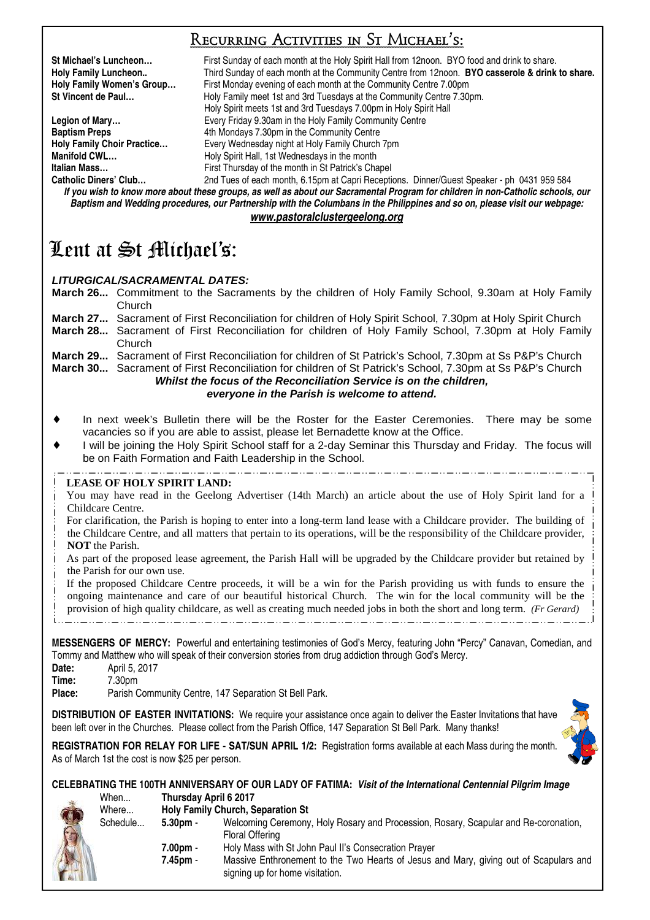# Recurring Activities in St Michael's:

**St Michael's Luncheon…** First Sunday of each month at the Holy Spirit Hall from 12noon. BYO food and drink to share. **Holy Family Luncheon..** Third Sunday of each month at the Community Centre from 12noon. **BYO casserole & drink to share. Holy Family Women's Group...** First Monday evening of each month at the Community Centre 7.00pm<br>St Vincent de Paul... Holy Family meet 1st and 3rd Tuesdays at the Community Centre 7.30 Holy Family meet 1st and 3rd Tuesdays at the Community Centre 7.30pm. Holy Spirit meets 1st and 3rd Tuesdays 7.00pm in Holy Spirit Hall **Legion of Mary...**<br> **Every Friday 9.30am in the Holy Family Community Centre**<br> **Baptism Preps Exercise 11 Additionally 10** 4th Mondays 7.30pm in the Community Centre **Baptism Preps** 4th Mondays 7.30pm in the Community Centre **Holy Family Chaptice Legation Chaptice Holy Family Church Holy Family Choir Practice…** Every Wednesday night at Holy Family Church 7pm **Manifold CWL... Holy Spirit Hall, 1st Wednesdays in the month Italian Mass... First Thursday of the month in St Patrick's Chapel Catholic Diners' Club…** 2nd Tues of each month, 6.15pm at Capri Receptions. Dinner/Guest Speaker - ph 0431 959 584

*If you wish to know more about these groups, as well as about our Sacramental Program for children in non-Catholic schools, our Baptism and Wedding procedures, our Partnership with the Columbans in the Philippines and so on, please visit our webpage: www.pastoralclustergeelong.org*

# Lent at St Michael's:

# **LITURGICAL/SACRAMENTAL DATES:**

| March 26 Commitment to the Sacraments by the children of Holy Family School, 9.30am at Holy Family |  |  |  |  |  |
|----------------------------------------------------------------------------------------------------|--|--|--|--|--|
| Church                                                                                             |  |  |  |  |  |
|                                                                                                    |  |  |  |  |  |

- **March 27...** Sacrament of First Reconciliation for children of Holy Spirit School, 7.30pm at Holy Spirit Church
- **March 28...** Sacrament of First Reconciliation for children of Holy Family School, 7.30pm at Holy Family Church
- **March 29...** Sacrament of First Reconciliation for children of St Patrick's School, 7.30pm at Ss P&P's Church

**March 30...** Sacrament of First Reconciliation for children of St Patrick's School, 7.30pm at Ss P&P's Church **Whilst the focus of the Reconciliation Service is on the children,** 

## **everyone in the Parish is welcome to attend.**

- In next week's Bulletin there will be the Roster for the Easter Ceremonies. There may be some vacancies so if you are able to assist, please let Bernadette know at the Office.
- I will be joining the Holy Spirit School staff for a 2-day Seminar this Thursday and Friday. The focus will be on Faith Formation and Faith Leadership in the School.

## **LEASE OF HOLY SPIRIT LAND:**

You may have read in the Geelong Advertiser (14th March) an article about the use of Holy Spirit land for a Childcare Centre.

For clarification, the Parish is hoping to enter into a long-term land lease with a Childcare provider. The building of the Childcare Centre, and all matters that pertain to its operations, will be the responsibility of the Childcare provider, **NOT** the Parish.

As part of the proposed lease agreement, the Parish Hall will be upgraded by the Childcare provider but retained by the Parish for our own use.

If the proposed Childcare Centre proceeds, it will be a win for the Parish providing us with funds to ensure the ongoing maintenance and care of our beautiful historical Church. The win for the local community will be the provision of high quality childcare, as well as creating much needed jobs in both the short and long term. *(Fr Gerard)* 

**MESSENGERS OF MERCY:** Powerful and entertaining testimonies of God's Mercy, featuring John "Percy" Canavan, Comedian, and Tommy and Matthew who will speak of their conversion stories from drug addiction through God's Mercy.

- **Date:** April 5, 2017
- **Time:** 7.30pm

**Place:** Parish Community Centre, 147 Separation St Bell Park.

**DISTRIBUTION OF EASTER INVITATIONS:** We require your assistance once again to deliver the Easter Invitations that have been left over in the Churches. Please collect from the Parish Office, 147 Separation St Bell Park. Many thanks!

**REGISTRATION FOR RELAY FOR LIFE - SAT/SUN APRIL 1/2:** Registration forms available at each Mass during the month. As of March 1st the cost is now \$25 per person.

### **CELEBRATING THE 100TH ANNIVERSARY OF OUR LADY OF FATIMA:** *Visit of the International Centennial Pilgrim Image* Whon **Thursday April 6 2017**

| "        | $111$ ui Juu $\gamma$ April $\gamma$ Ly II |                                                                                                               |  |  |  |  |
|----------|--------------------------------------------|---------------------------------------------------------------------------------------------------------------|--|--|--|--|
| Where    |                                            | <b>Holy Family Church, Separation St</b>                                                                      |  |  |  |  |
| Schedule | $5.30pm -$                                 | Welcoming Ceremony, Holy Rosary and Procession, Rosary, Scapular and Re-coronation,<br><b>Floral Offering</b> |  |  |  |  |
|          | 7.00pm -                                   | Holy Mass with St John Paul II's Consecration Prayer                                                          |  |  |  |  |
|          | $7.45$ pm -                                | Massive Enthronement to the Two Hearts of Jesus and Mary, giving out of Scapulars and                         |  |  |  |  |
|          |                                            | signing up for home visitation.                                                                               |  |  |  |  |